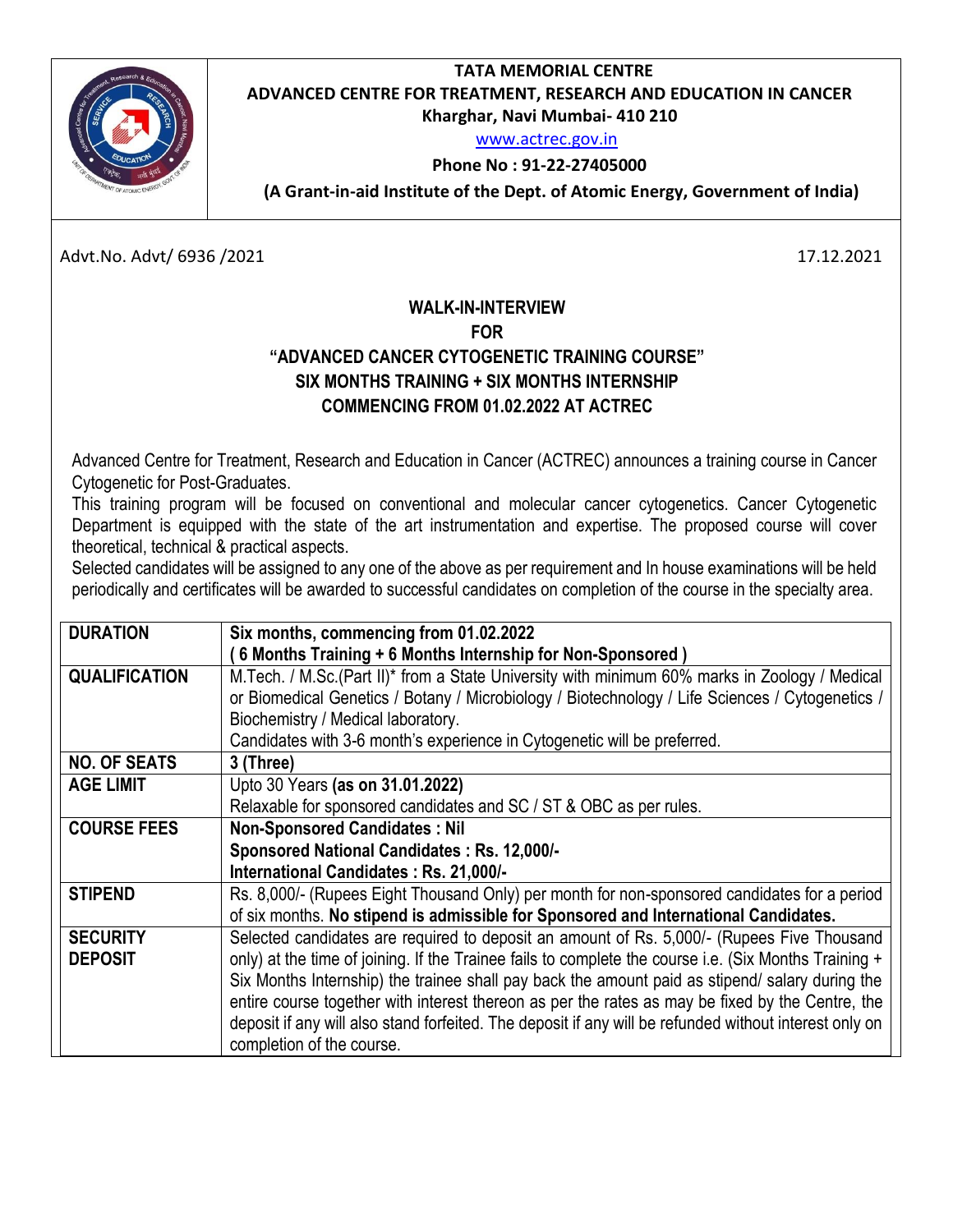## **TATA MEMORIAL CENTRE ADVANCED CENTRE FOR TREATMENT, RESEARCH AND EDUCATION IN CANCER Kharghar, Navi Mumbai- 410 210**

[www.actrec.gov.in](http://www.actrec.gov.in/)

## **Phone No : 91-22-27405000**

**( (A Grant-in-aid Institute of the Dept. of Atomic Energy, Government of India)**

Advt.No. Advt/ 6936 /2021 17.12.2021

## **WALK-IN-INTERVIEW FOR "ADVANCED CANCER CYTOGENETIC TRAINING COURSE" SIX MONTHS TRAINING + SIX MONTHS INTERNSHIP COMMENCING FROM 01.02.2022 AT ACTREC**

Advanced Centre for Treatment, Research and Education in Cancer (ACTREC) announces a training course in Cancer Cytogenetic for Post-Graduates.

This training program will be focused on conventional and molecular cancer cytogenetics. Cancer Cytogenetic Department is equipped with the state of the art instrumentation and expertise. The proposed course will cover theoretical, technical & practical aspects.

Selected candidates will be assigned to any one of the above as per requirement and In house examinations will be held periodically and certificates will be awarded to successful candidates on completion of the course in the specialty area.

| <b>DURATION</b>      | Six months, commencing from 01.02.2022                                                                 |
|----------------------|--------------------------------------------------------------------------------------------------------|
|                      | 6 Months Training + 6 Months Internship for Non-Sponsored)                                             |
| <b>QUALIFICATION</b> | M. Tech. / M.Sc. (Part II)* from a State University with minimum 60% marks in Zoology / Medical        |
|                      | or Biomedical Genetics / Botany / Microbiology / Biotechnology / Life Sciences / Cytogenetics /        |
|                      | Biochemistry / Medical laboratory.                                                                     |
|                      | Candidates with 3-6 month's experience in Cytogenetic will be preferred.                               |
| <b>NO. OF SEATS</b>  | 3 (Three)                                                                                              |
| <b>AGE LIMIT</b>     | Upto 30 Years (as on 31.01.2022)                                                                       |
|                      | Relaxable for sponsored candidates and SC / ST & OBC as per rules.                                     |
| <b>COURSE FEES</b>   | <b>Non-Sponsored Candidates: Nil</b>                                                                   |
|                      | Sponsored National Candidates: Rs. 12,000/-                                                            |
|                      | International Candidates: Rs. 21,000/-                                                                 |
| <b>STIPEND</b>       | Rs. 8,000/- (Rupees Eight Thousand Only) per month for non-sponsored candidates for a period           |
|                      | of six months. No stipend is admissible for Sponsored and International Candidates.                    |
| <b>SECURITY</b>      | Selected candidates are required to deposit an amount of Rs. 5,000/- (Rupees Five Thousand             |
| <b>DEPOSIT</b>       | only) at the time of joining. If the Trainee fails to complete the course i.e. (Six Months Training +  |
|                      | Six Months Internship) the trainee shall pay back the amount paid as stipend/ salary during the        |
|                      | entire course together with interest thereon as per the rates as may be fixed by the Centre, the       |
|                      | deposit if any will also stand forfeited. The deposit if any will be refunded without interest only on |
|                      | completion of the course.                                                                              |